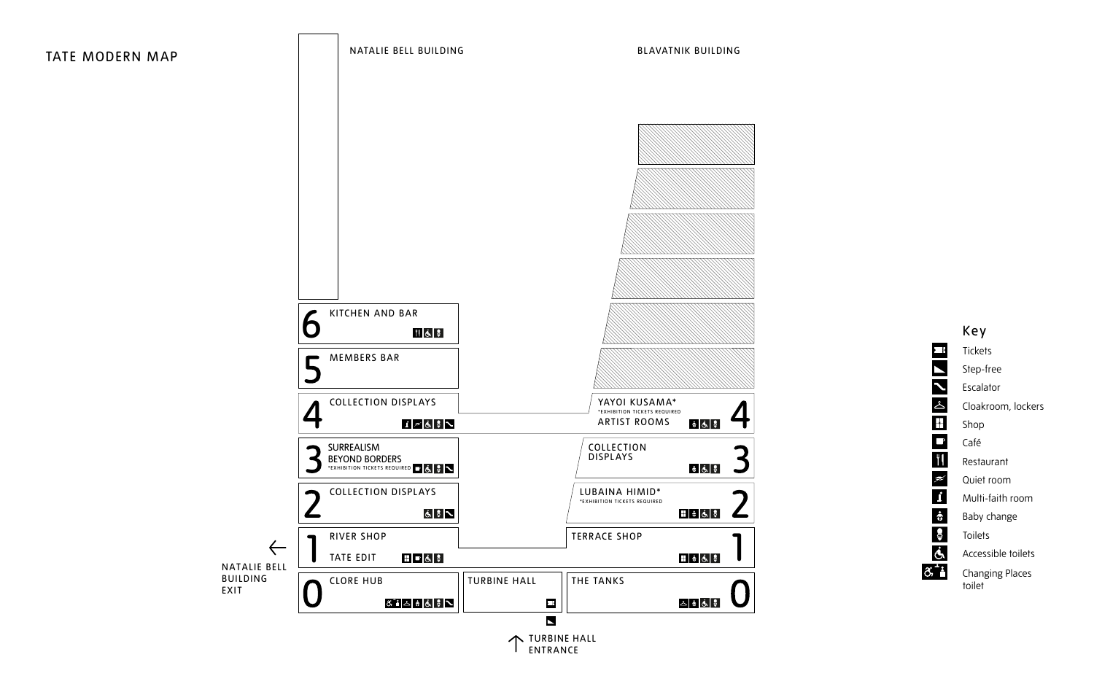

ockers<br>
vom<br>
ilets<br>
ices



NATALIE BELL BUILDING

#### BLAVATNIK BUILDING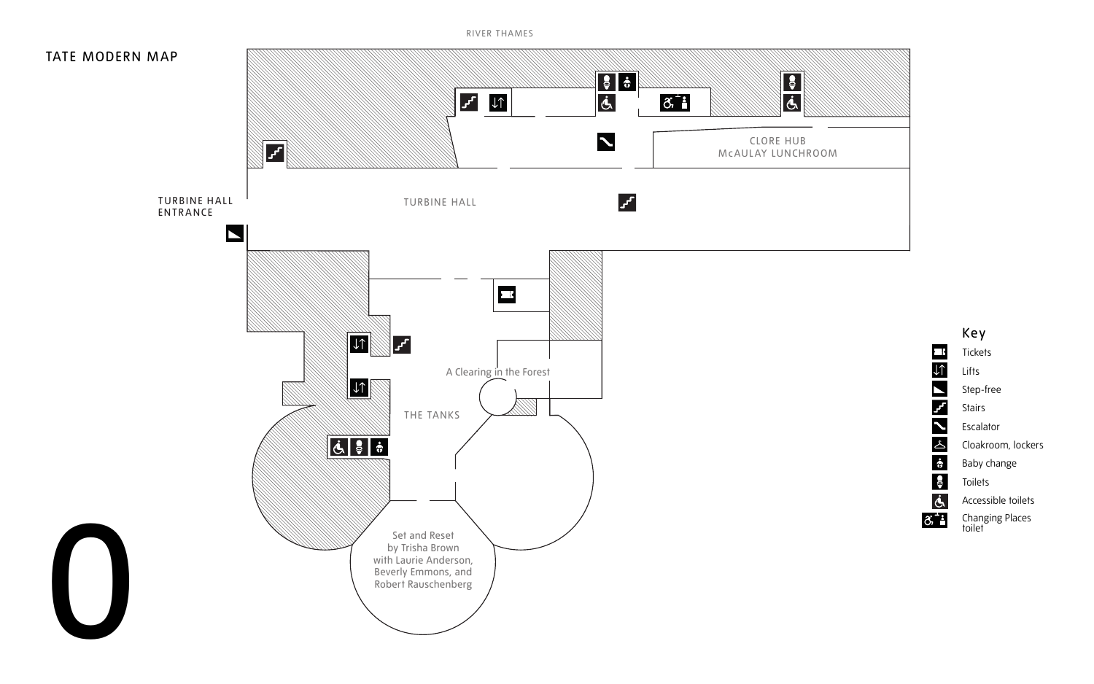

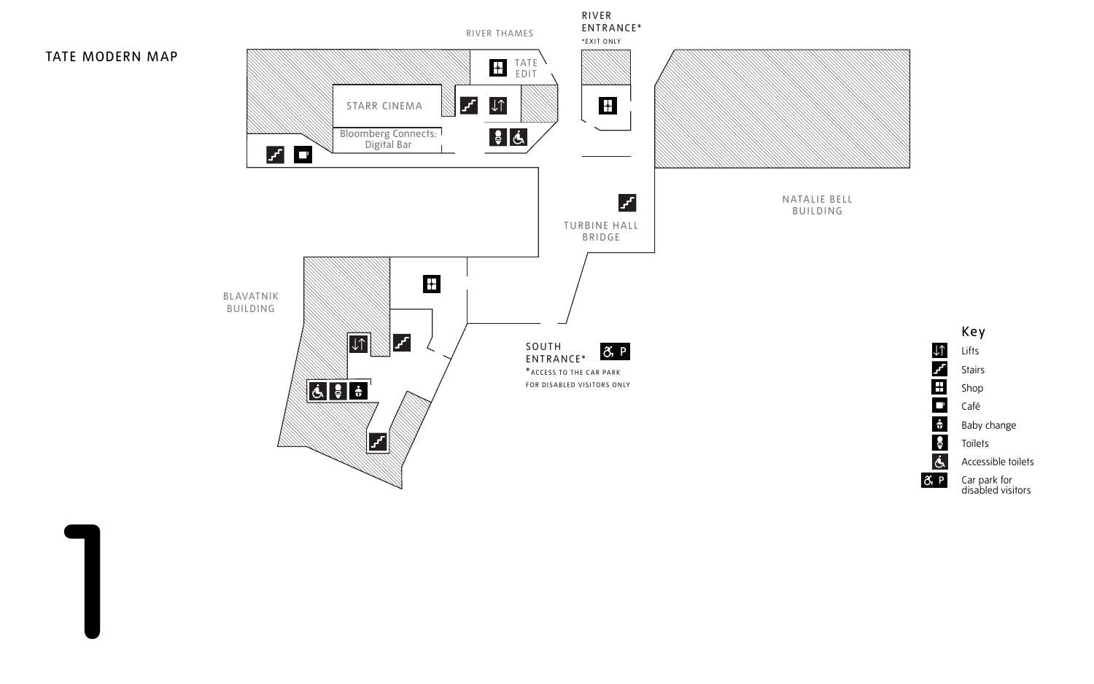





Key Lifts Stairs Shop Café Baby change **Toilets** Accessible toilets Car park for disabled visitors

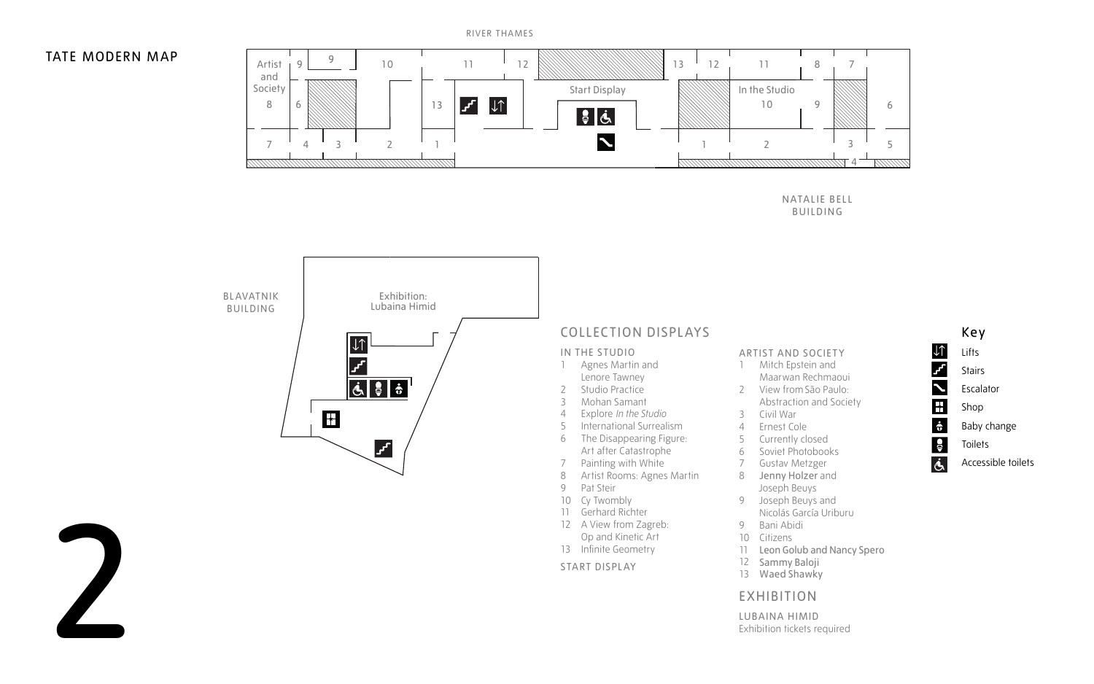- **Stairs** Escalator Shop
- Baby change
- **Toilets**
- Accessible toilets

NATALIE BELL BUILDING

- 1 Agnes Martin and Lenore Tawney
- 2 Studio Practice
- 3 Mohan Samant
- 4 Explore *In the Studio*
- 5 International Surrealism
- 6 The Disappearing Figure:
- Art after Catastrophe 7 Painting with White
- 
- 8 Artist Rooms: Agnes Martin
- 9 Pat Steir
- 10 Cy Twombly
- 11 Gerhard Richter
- 12 A View from Zagreb: Op and Kinetic Art
- 13 Infinite Geometry





## COLLECTION DISPLAYS

#### IN THE STUDIO

- 1 Mitch Epstein and Maarwan Rechmaoui
- 2 View from São Paulo:
- Abstraction and Society
- 3 Civil War
- 4 Ernest Cole
- 5 Currently closed
- 6 Soviet Photobooks
- 7 Gustav Metzger
- 8 Jenny Holzer and Joseph Beuys
- 9 Joseph Beuys and Nicolás García Uriburu
- 9 Bani Abidi
- 10 Citizens
- 11 Leon Golub and Nancy Spero
- 12 Sammy Baloji
- 13 Waed Shawky

START DISPLAY

#### ARTIST AND SOCIETY

#### EXHIBITION

LUBAINA HIMID Exhibition tickets required



### TATE MODERN MAP

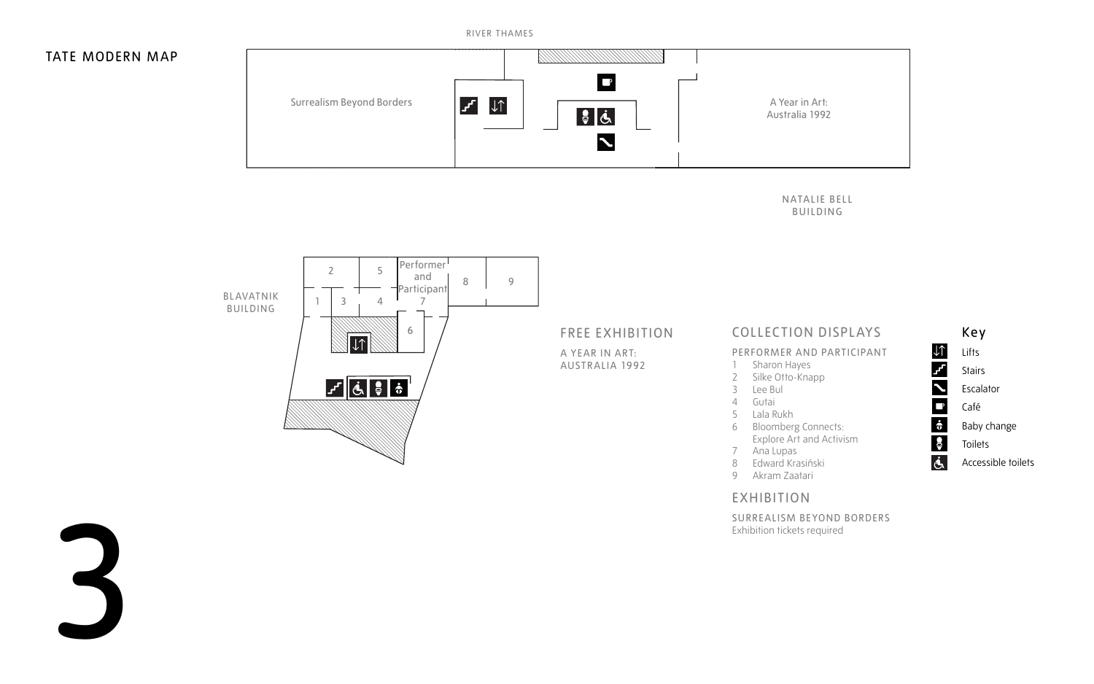NATALIE BELL BUILDING



- 
- Escalator
- 
- Baby change
- **Toilets**
- Accessible toilets



## COLLECTION DISPLAYS

#### PERFORMER AND PARTICIPANT

- 1 Sharon Hayes
- 2 Silke Otto-Knapp
- 3 Lee Bul
- 4 Gutai
- 5 Lala Rukh
- 6 Bloomberg Connects: Explore Art and Activism
- 7 Ana Lupas
- 8 Edward Krasiński
- 9 Akram Zaatari

### EXHIBITION

SURREALISM BEYOND BORDERS Exhibition tickets required

## FREE EXHIBITION

A YEAR IN ART: AUSTRALIA 1992